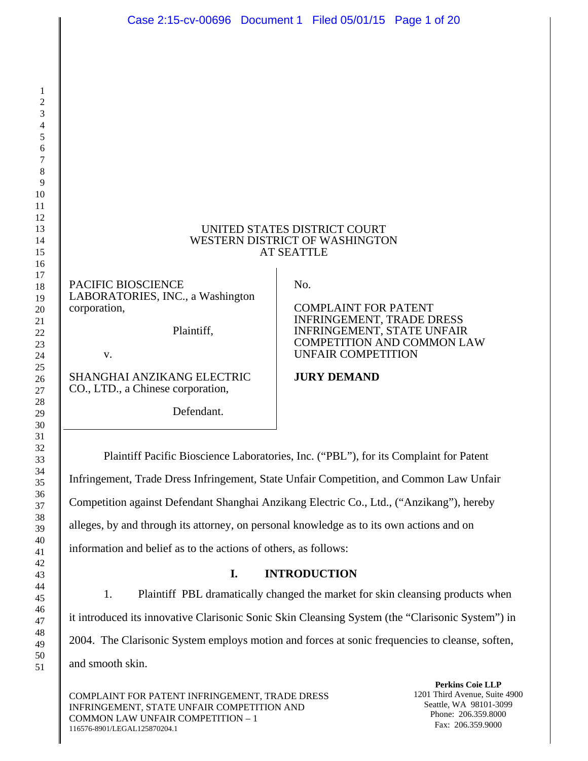#### UNITED STATES DISTRICT COURT WESTERN DISTRICT OF WASHINGTON AT SEATTLE

PACIFIC BIOSCIENCE LABORATORIES, INC., a Washington corporation,

Plaintiff,

v.

SHANGHAI ANZIKANG ELECTRIC CO., LTD., a Chinese corporation,

Defendant.

No.

COMPLAINT FOR PATENT INFRINGEMENT, TRADE DRESS INFRINGEMENT, STATE UNFAIR COMPETITION AND COMMON LAW UNFAIR COMPETITION

# **JURY DEMAND**

Plaintiff Pacific Bioscience Laboratories, Inc. ("PBL"), for its Complaint for Patent Infringement, Trade Dress Infringement, State Unfair Competition, and Common Law Unfair Competition against Defendant Shanghai Anzikang Electric Co., Ltd., ("Anzikang"), hereby alleges, by and through its attorney, on personal knowledge as to its own actions and on information and belief as to the actions of others, as follows:

# **I. INTRODUCTION**

1. Plaintiff PBL dramatically changed the market for skin cleansing products when it introduced its innovative Clarisonic Sonic Skin Cleansing System (the "Clarisonic System") in 2004. The Clarisonic System employs motion and forces at sonic frequencies to cleanse, soften, and smooth skin.

COMPLAINT FOR PATENT INFRINGEMENT, TRADE DRESS INFRINGEMENT, STATE UNFAIR COMPETITION AND COMMON LAW UNFAIR COMPETITION – 1 116576-8901/LEGAL125870204.1

**Perkins Coie LLP**  1201 Third Avenue, Suite 4900 Seattle, WA 98101-3099 Phone: 206.359.8000 Fax: 206.359.9000

1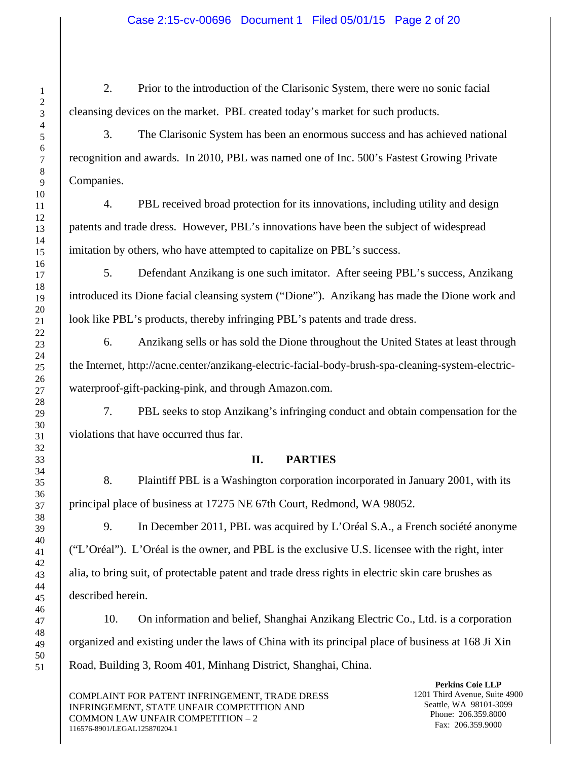## Case 2:15-cv-00696 Document 1 Filed 05/01/15 Page 2 of 20

2. Prior to the introduction of the Clarisonic System, there were no sonic facial cleansing devices on the market. PBL created today's market for such products.

3. The Clarisonic System has been an enormous success and has achieved national recognition and awards. In 2010, PBL was named one of Inc. 500's Fastest Growing Private Companies.

4. PBL received broad protection for its innovations, including utility and design patents and trade dress. However, PBL's innovations have been the subject of widespread imitation by others, who have attempted to capitalize on PBL's success.

5. Defendant Anzikang is one such imitator. After seeing PBL's success, Anzikang introduced its Dione facial cleansing system ("Dione"). Anzikang has made the Dione work and look like PBL's products, thereby infringing PBL's patents and trade dress.

6. Anzikang sells or has sold the Dione throughout the United States at least through the Internet, http://acne.center/anzikang-electric-facial-body-brush-spa-cleaning-system-electricwaterproof-gift-packing-pink, and through Amazon.com.

7. PBL seeks to stop Anzikang's infringing conduct and obtain compensation for the violations that have occurred thus far.

# **II. PARTIES**

8. Plaintiff PBL is a Washington corporation incorporated in January 2001, with its principal place of business at 17275 NE 67th Court, Redmond, WA 98052.

9. In December 2011, PBL was acquired by L'Oréal S.A., a French société anonyme ("L'Oréal"). L'Oréal is the owner, and PBL is the exclusive U.S. licensee with the right, inter alia, to bring suit, of protectable patent and trade dress rights in electric skin care brushes as described herein.

10. On information and belief, Shanghai Anzikang Electric Co., Ltd. is a corporation organized and existing under the laws of China with its principal place of business at 168 Ji Xin Road, Building 3, Room 401, Minhang District, Shanghai, China.

COMPLAINT FOR PATENT INFRINGEMENT, TRADE DRESS INFRINGEMENT, STATE UNFAIR COMPETITION AND COMMON LAW UNFAIR COMPETITION – 2 116576-8901/LEGAL125870204.1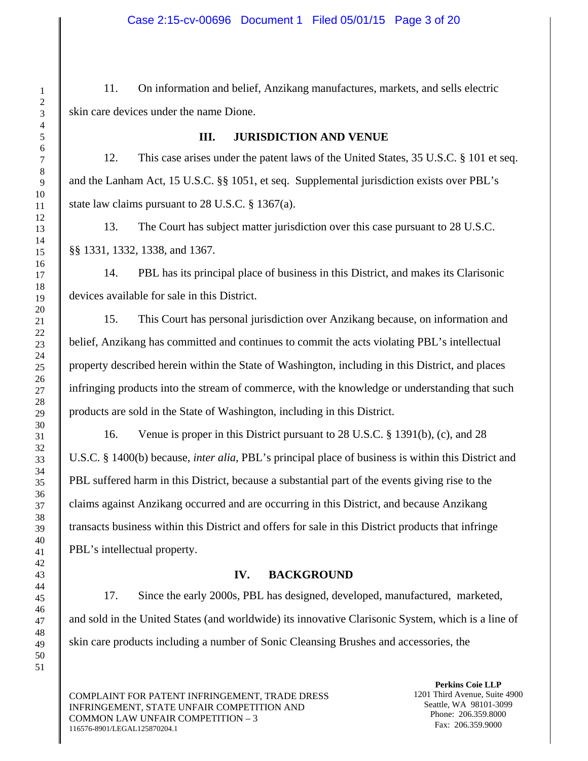11. On information and belief, Anzikang manufactures, markets, and sells electric skin care devices under the name Dione.

#### **III. JURISDICTION AND VENUE**

12. This case arises under the patent laws of the United States, 35 U.S.C. § 101 et seq. and the Lanham Act, 15 U.S.C. §§ 1051, et seq. Supplemental jurisdiction exists over PBL's state law claims pursuant to 28 U.S.C. § 1367(a).

13. The Court has subject matter jurisdiction over this case pursuant to 28 U.S.C. §§ 1331, 1332, 1338, and 1367.

14. PBL has its principal place of business in this District, and makes its Clarisonic devices available for sale in this District.

15. This Court has personal jurisdiction over Anzikang because, on information and belief, Anzikang has committed and continues to commit the acts violating PBL's intellectual property described herein within the State of Washington, including in this District, and places infringing products into the stream of commerce, with the knowledge or understanding that such products are sold in the State of Washington, including in this District.

16. Venue is proper in this District pursuant to 28 U.S.C. § 1391(b), (c), and 28 U.S.C. § 1400(b) because, *inter alia*, PBL's principal place of business is within this District and PBL suffered harm in this District, because a substantial part of the events giving rise to the claims against Anzikang occurred and are occurring in this District, and because Anzikang transacts business within this District and offers for sale in this District products that infringe PBL's intellectual property.

# **IV. BACKGROUND**

17. Since the early 2000s, PBL has designed, developed, manufactured, marketed, and sold in the United States (and worldwide) its innovative Clarisonic System, which is a line of skin care products including a number of Sonic Cleansing Brushes and accessories, the

COMPLAINT FOR PATENT INFRINGEMENT, TRADE DRESS INFRINGEMENT, STATE UNFAIR COMPETITION AND COMMON LAW UNFAIR COMPETITION – 3 116576-8901/LEGAL125870204.1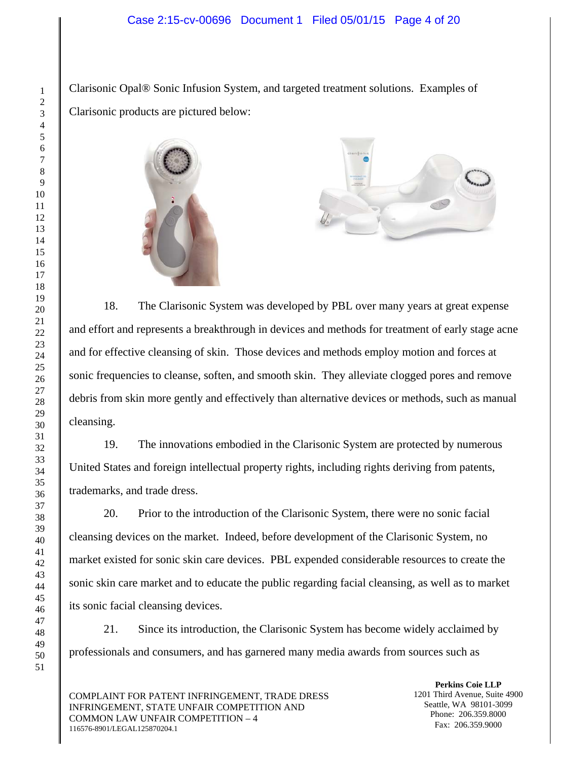## Case 2:15-cv-00696 Document 1 Filed 05/01/15 Page 4 of 20

Clarisonic Opal® Sonic Infusion System, and targeted treatment solutions. Examples of Clarisonic products are pictured below:





18. The Clarisonic System was developed by PBL over many years at great expense and effort and represents a breakthrough in devices and methods for treatment of early stage acne and for effective cleansing of skin. Those devices and methods employ motion and forces at sonic frequencies to cleanse, soften, and smooth skin. They alleviate clogged pores and remove debris from skin more gently and effectively than alternative devices or methods, such as manual cleansing.

19. The innovations embodied in the Clarisonic System are protected by numerous United States and foreign intellectual property rights, including rights deriving from patents, trademarks, and trade dress.

20. Prior to the introduction of the Clarisonic System, there were no sonic facial cleansing devices on the market. Indeed, before development of the Clarisonic System, no market existed for sonic skin care devices. PBL expended considerable resources to create the sonic skin care market and to educate the public regarding facial cleansing, as well as to market its sonic facial cleansing devices.

21. Since its introduction, the Clarisonic System has become widely acclaimed by professionals and consumers, and has garnered many media awards from sources such as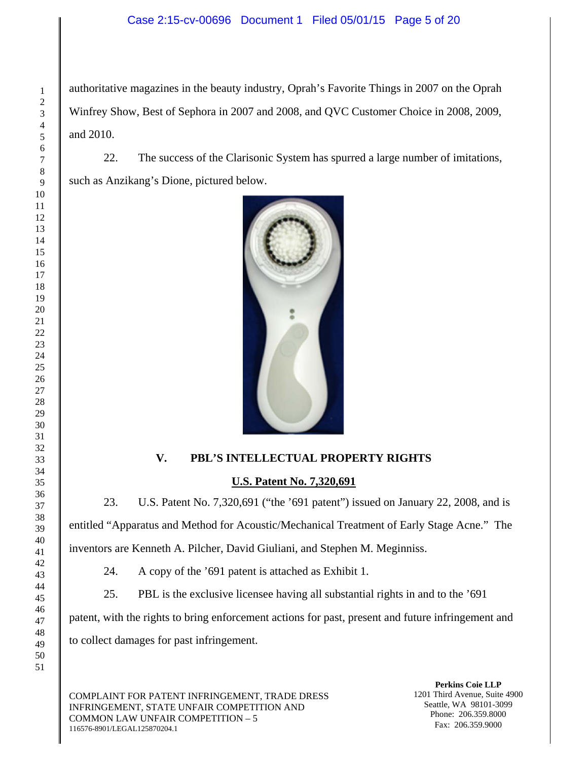authoritative magazines in the beauty industry, Oprah's Favorite Things in 2007 on the Oprah Winfrey Show, Best of Sephora in 2007 and 2008, and QVC Customer Choice in 2008, 2009, and 2010.

22. The success of the Clarisonic System has spurred a large number of imitations, such as Anzikang's Dione, pictured below.



# **V. PBL'S INTELLECTUAL PROPERTY RIGHTS**

**U.S. Patent No. 7,320,691** 

23. U.S. Patent No. 7,320,691 ("the '691 patent") issued on January 22, 2008, and is entitled "Apparatus and Method for Acoustic/Mechanical Treatment of Early Stage Acne." The inventors are Kenneth A. Pilcher, David Giuliani, and Stephen M. Meginniss.

24. A copy of the '691 patent is attached as Exhibit 1.

25. PBL is the exclusive licensee having all substantial rights in and to the '691

patent, with the rights to bring enforcement actions for past, present and future infringement and to collect damages for past infringement.

COMPLAINT FOR PATENT INFRINGEMENT, TRADE DRESS INFRINGEMENT, STATE UNFAIR COMPETITION AND COMMON LAW UNFAIR COMPETITION – 5 116576-8901/LEGAL125870204.1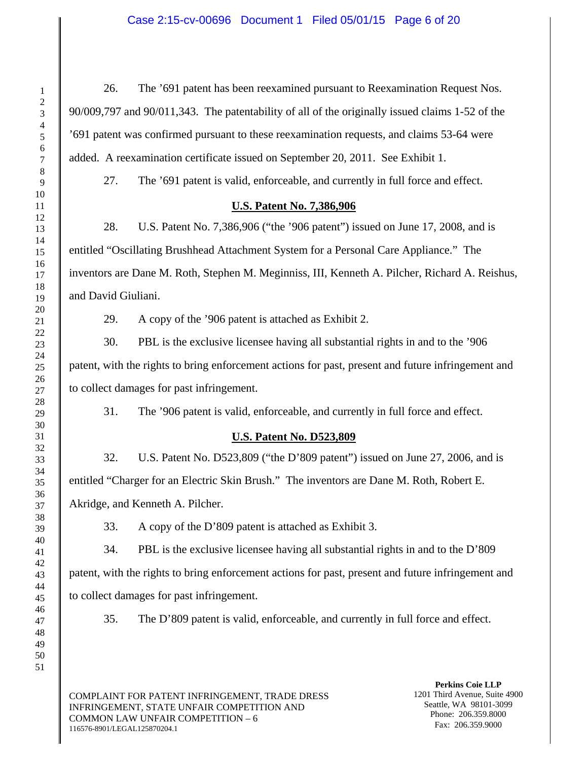# Case 2:15-cv-00696 Document 1 Filed 05/01/15 Page 6 of 20

26. The '691 patent has been reexamined pursuant to Reexamination Request Nos. 90/009,797 and 90/011,343. The patentability of all of the originally issued claims 1-52 of the '691 patent was confirmed pursuant to these reexamination requests, and claims 53-64 were added. A reexamination certificate issued on September 20, 2011. See Exhibit 1.

27. The '691 patent is valid, enforceable, and currently in full force and effect.

# **U.S. Patent No. 7,386,906**

28. U.S. Patent No. 7,386,906 ("the '906 patent") issued on June 17, 2008, and is entitled "Oscillating Brushhead Attachment System for a Personal Care Appliance." The inventors are Dane M. Roth, Stephen M. Meginniss, III, Kenneth A. Pilcher, Richard A. Reishus, and David Giuliani.

29. A copy of the '906 patent is attached as Exhibit 2.

30. PBL is the exclusive licensee having all substantial rights in and to the '906 patent, with the rights to bring enforcement actions for past, present and future infringement and to collect damages for past infringement.

31. The '906 patent is valid, enforceable, and currently in full force and effect.

# **U.S. Patent No. D523,809**

32. U.S. Patent No. D523,809 ("the D'809 patent") issued on June 27, 2006, and is entitled "Charger for an Electric Skin Brush." The inventors are Dane M. Roth, Robert E. Akridge, and Kenneth A. Pilcher.

33. A copy of the D'809 patent is attached as Exhibit 3.

34. PBL is the exclusive licensee having all substantial rights in and to the D'809 patent, with the rights to bring enforcement actions for past, present and future infringement and to collect damages for past infringement.

35. The D'809 patent is valid, enforceable, and currently in full force and effect.

COMPLAINT FOR PATENT INFRINGEMENT, TRADE DRESS INFRINGEMENT, STATE UNFAIR COMPETITION AND COMMON LAW UNFAIR COMPETITION – 6 116576-8901/LEGAL125870204.1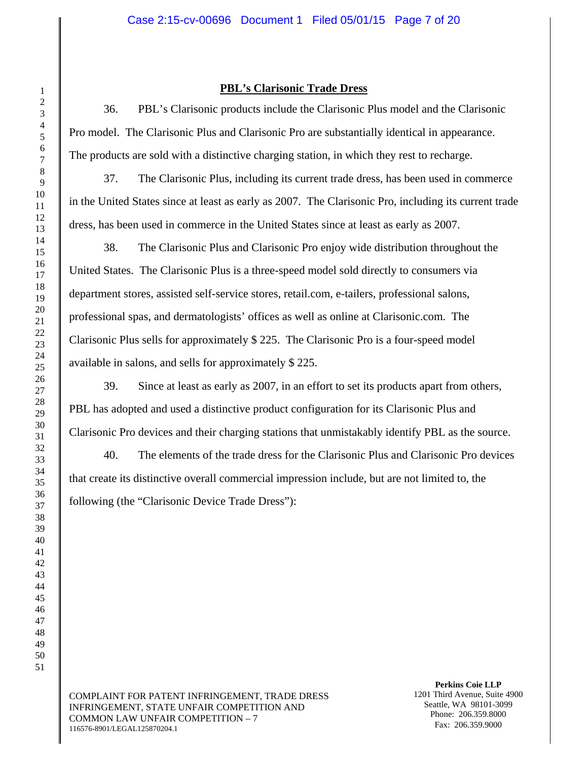## **PBL's Clarisonic Trade Dress**

36. PBL's Clarisonic products include the Clarisonic Plus model and the Clarisonic Pro model. The Clarisonic Plus and Clarisonic Pro are substantially identical in appearance. The products are sold with a distinctive charging station, in which they rest to recharge.

37. The Clarisonic Plus, including its current trade dress, has been used in commerce in the United States since at least as early as 2007. The Clarisonic Pro, including its current trade dress, has been used in commerce in the United States since at least as early as 2007.

38. The Clarisonic Plus and Clarisonic Pro enjoy wide distribution throughout the United States. The Clarisonic Plus is a three-speed model sold directly to consumers via department stores, assisted self-service stores, retail.com, e-tailers, professional salons, professional spas, and dermatologists' offices as well as online at Clarisonic.com. The Clarisonic Plus sells for approximately \$ 225. The Clarisonic Pro is a four-speed model available in salons, and sells for approximately \$ 225.

39. Since at least as early as 2007, in an effort to set its products apart from others, PBL has adopted and used a distinctive product configuration for its Clarisonic Plus and Clarisonic Pro devices and their charging stations that unmistakably identify PBL as the source.

40. The elements of the trade dress for the Clarisonic Plus and Clarisonic Pro devices that create its distinctive overall commercial impression include, but are not limited to, the following (the "Clarisonic Device Trade Dress"):

COMPLAINT FOR PATENT INFRINGEMENT, TRADE DRESS INFRINGEMENT, STATE UNFAIR COMPETITION AND COMMON LAW UNFAIR COMPETITION – 7 116576-8901/LEGAL125870204.1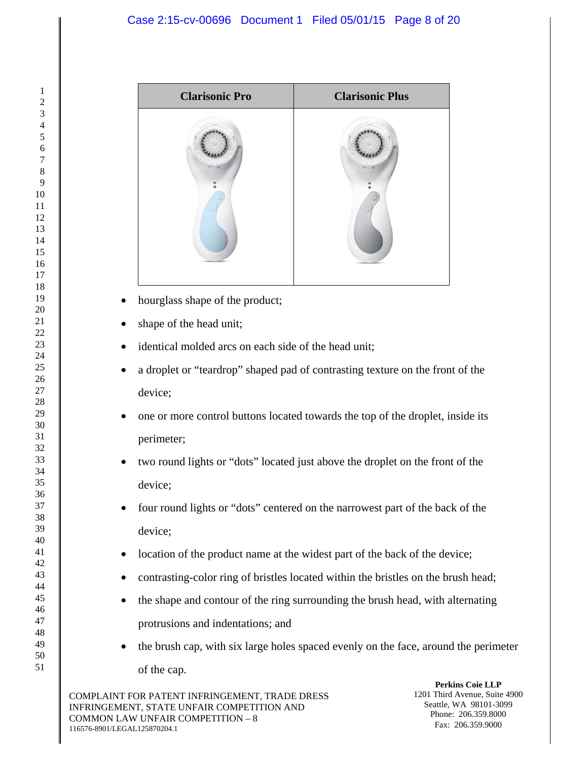

- hourglass shape of the product;
- shape of the head unit;
- identical molded arcs on each side of the head unit;
- a droplet or "teardrop" shaped pad of contrasting texture on the front of the device;
- one or more control buttons located towards the top of the droplet, inside its perimeter;
- two round lights or "dots" located just above the droplet on the front of the device;
- four round lights or "dots" centered on the narrowest part of the back of the device;
- location of the product name at the widest part of the back of the device;
- contrasting-color ring of bristles located within the bristles on the brush head;
- the shape and contour of the ring surrounding the brush head, with alternating protrusions and indentations; and
- the brush cap, with six large holes spaced evenly on the face, around the perimeter of the cap.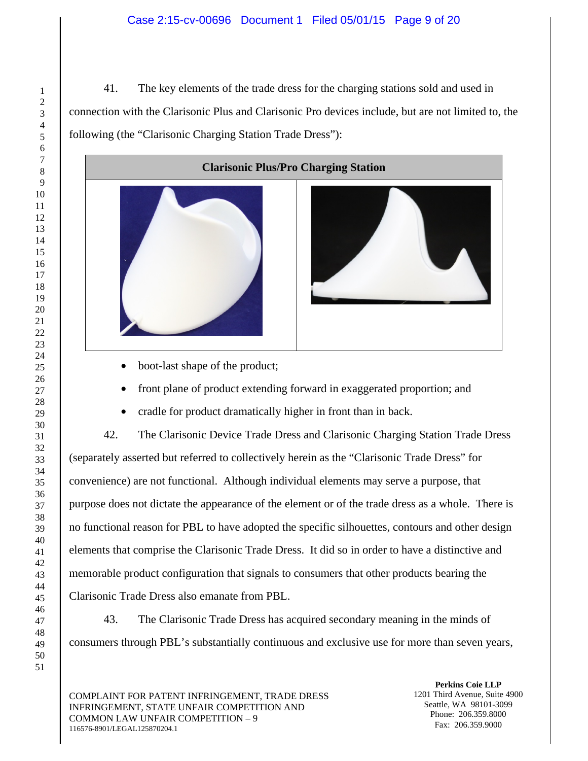## Case 2:15-cv-00696 Document 1 Filed 05/01/15 Page 9 of 20

41. The key elements of the trade dress for the charging stations sold and used in connection with the Clarisonic Plus and Clarisonic Pro devices include, but are not limited to, the following (the "Clarisonic Charging Station Trade Dress"):



- boot-last shape of the product;
- front plane of product extending forward in exaggerated proportion; and
- cradle for product dramatically higher in front than in back.

42. The Clarisonic Device Trade Dress and Clarisonic Charging Station Trade Dress (separately asserted but referred to collectively herein as the "Clarisonic Trade Dress" for convenience) are not functional. Although individual elements may serve a purpose, that purpose does not dictate the appearance of the element or of the trade dress as a whole. There is no functional reason for PBL to have adopted the specific silhouettes, contours and other design elements that comprise the Clarisonic Trade Dress. It did so in order to have a distinctive and memorable product configuration that signals to consumers that other products bearing the Clarisonic Trade Dress also emanate from PBL.

43. The Clarisonic Trade Dress has acquired secondary meaning in the minds of consumers through PBL's substantially continuous and exclusive use for more than seven years,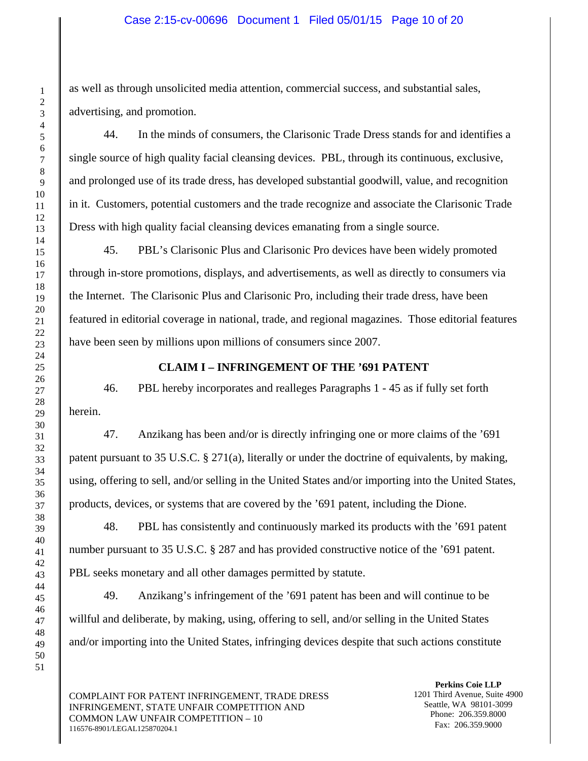## Case 2:15-cv-00696 Document 1 Filed 05/01/15 Page 10 of 20

as well as through unsolicited media attention, commercial success, and substantial sales, advertising, and promotion.

44. In the minds of consumers, the Clarisonic Trade Dress stands for and identifies a single source of high quality facial cleansing devices. PBL, through its continuous, exclusive, and prolonged use of its trade dress, has developed substantial goodwill, value, and recognition in it. Customers, potential customers and the trade recognize and associate the Clarisonic Trade Dress with high quality facial cleansing devices emanating from a single source.

45. PBL's Clarisonic Plus and Clarisonic Pro devices have been widely promoted through in-store promotions, displays, and advertisements, as well as directly to consumers via the Internet. The Clarisonic Plus and Clarisonic Pro, including their trade dress, have been featured in editorial coverage in national, trade, and regional magazines. Those editorial features have been seen by millions upon millions of consumers since 2007.

# **CLAIM I – INFRINGEMENT OF THE '691 PATENT**

46. PBL hereby incorporates and realleges Paragraphs 1 - 45 as if fully set forth herein.

47. Anzikang has been and/or is directly infringing one or more claims of the '691 patent pursuant to 35 U.S.C. § 271(a), literally or under the doctrine of equivalents, by making, using, offering to sell, and/or selling in the United States and/or importing into the United States, products, devices, or systems that are covered by the '691 patent, including the Dione.

48. PBL has consistently and continuously marked its products with the '691 patent number pursuant to 35 U.S.C. § 287 and has provided constructive notice of the '691 patent. PBL seeks monetary and all other damages permitted by statute.

49. Anzikang's infringement of the '691 patent has been and will continue to be willful and deliberate, by making, using, offering to sell, and/or selling in the United States and/or importing into the United States, infringing devices despite that such actions constitute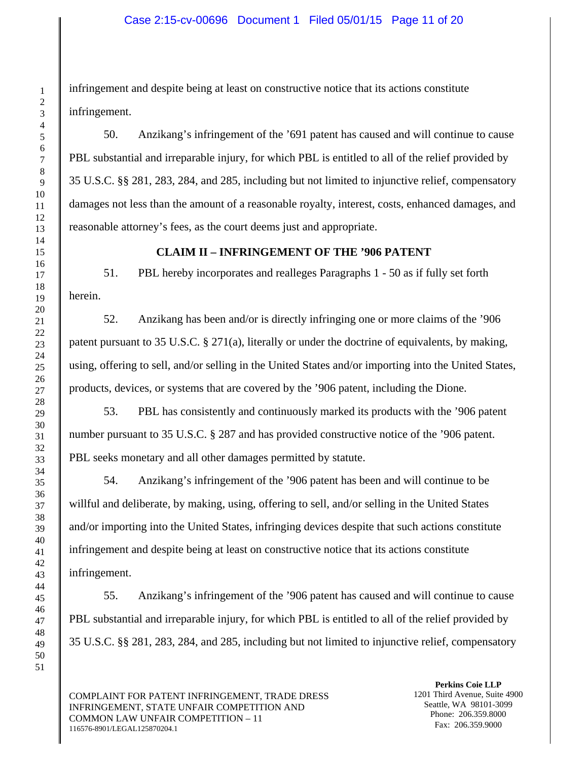## Case 2:15-cv-00696 Document 1 Filed 05/01/15 Page 11 of 20

infringement and despite being at least on constructive notice that its actions constitute infringement.

50. Anzikang's infringement of the '691 patent has caused and will continue to cause PBL substantial and irreparable injury, for which PBL is entitled to all of the relief provided by 35 U.S.C. §§ 281, 283, 284, and 285, including but not limited to injunctive relief, compensatory damages not less than the amount of a reasonable royalty, interest, costs, enhanced damages, and reasonable attorney's fees, as the court deems just and appropriate.

#### **CLAIM II – INFRINGEMENT OF THE '906 PATENT**

51. PBL hereby incorporates and realleges Paragraphs 1 - 50 as if fully set forth herein.

52. Anzikang has been and/or is directly infringing one or more claims of the '906 patent pursuant to 35 U.S.C. § 271(a), literally or under the doctrine of equivalents, by making, using, offering to sell, and/or selling in the United States and/or importing into the United States, products, devices, or systems that are covered by the '906 patent, including the Dione.

53. PBL has consistently and continuously marked its products with the '906 patent number pursuant to 35 U.S.C. § 287 and has provided constructive notice of the '906 patent. PBL seeks monetary and all other damages permitted by statute.

54. Anzikang's infringement of the '906 patent has been and will continue to be willful and deliberate, by making, using, offering to sell, and/or selling in the United States and/or importing into the United States, infringing devices despite that such actions constitute infringement and despite being at least on constructive notice that its actions constitute infringement.

55. Anzikang's infringement of the '906 patent has caused and will continue to cause PBL substantial and irreparable injury, for which PBL is entitled to all of the relief provided by 35 U.S.C. §§ 281, 283, 284, and 285, including but not limited to injunctive relief, compensatory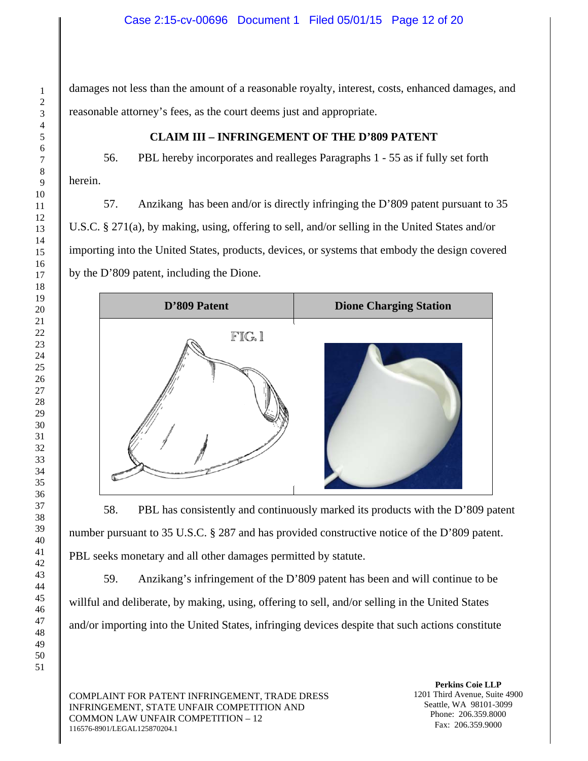damages not less than the amount of a reasonable royalty, interest, costs, enhanced damages, and reasonable attorney's fees, as the court deems just and appropriate.

# **CLAIM III – INFRINGEMENT OF THE D'809 PATENT**

56. PBL hereby incorporates and realleges Paragraphs 1 - 55 as if fully set forth herein.

57. Anzikang has been and/or is directly infringing the D'809 patent pursuant to 35 U.S.C. § 271(a), by making, using, offering to sell, and/or selling in the United States and/or importing into the United States, products, devices, or systems that embody the design covered by the D'809 patent, including the Dione.



58. PBL has consistently and continuously marked its products with the D'809 patent number pursuant to 35 U.S.C. § 287 and has provided constructive notice of the D'809 patent. PBL seeks monetary and all other damages permitted by statute.

59. Anzikang's infringement of the D'809 patent has been and will continue to be willful and deliberate, by making, using, offering to sell, and/or selling in the United States and/or importing into the United States, infringing devices despite that such actions constitute

COMPLAINT FOR PATENT INFRINGEMENT, TRADE DRESS INFRINGEMENT, STATE UNFAIR COMPETITION AND COMMON LAW UNFAIR COMPETITION – 12 116576-8901/LEGAL125870204.1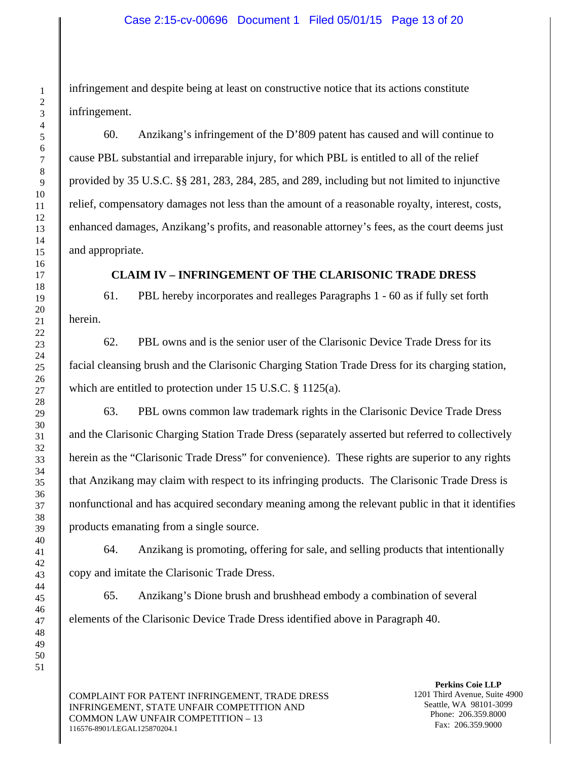infringement and despite being at least on constructive notice that its actions constitute infringement.

60. Anzikang's infringement of the D'809 patent has caused and will continue to cause PBL substantial and irreparable injury, for which PBL is entitled to all of the relief provided by 35 U.S.C. §§ 281, 283, 284, 285, and 289, including but not limited to injunctive relief, compensatory damages not less than the amount of a reasonable royalty, interest, costs, enhanced damages, Anzikang's profits, and reasonable attorney's fees, as the court deems just and appropriate.

## **CLAIM IV – INFRINGEMENT OF THE CLARISONIC TRADE DRESS**

61. PBL hereby incorporates and realleges Paragraphs 1 - 60 as if fully set forth herein.

62. PBL owns and is the senior user of the Clarisonic Device Trade Dress for its facial cleansing brush and the Clarisonic Charging Station Trade Dress for its charging station, which are entitled to protection under 15 U.S.C. § 1125(a).

63. PBL owns common law trademark rights in the Clarisonic Device Trade Dress and the Clarisonic Charging Station Trade Dress (separately asserted but referred to collectively herein as the "Clarisonic Trade Dress" for convenience). These rights are superior to any rights that Anzikang may claim with respect to its infringing products. The Clarisonic Trade Dress is nonfunctional and has acquired secondary meaning among the relevant public in that it identifies products emanating from a single source.

64. Anzikang is promoting, offering for sale, and selling products that intentionally copy and imitate the Clarisonic Trade Dress.

65. Anzikang's Dione brush and brushhead embody a combination of several elements of the Clarisonic Device Trade Dress identified above in Paragraph 40.

COMPLAINT FOR PATENT INFRINGEMENT, TRADE DRESS INFRINGEMENT, STATE UNFAIR COMPETITION AND COMMON LAW UNFAIR COMPETITION – 13 116576-8901/LEGAL125870204.1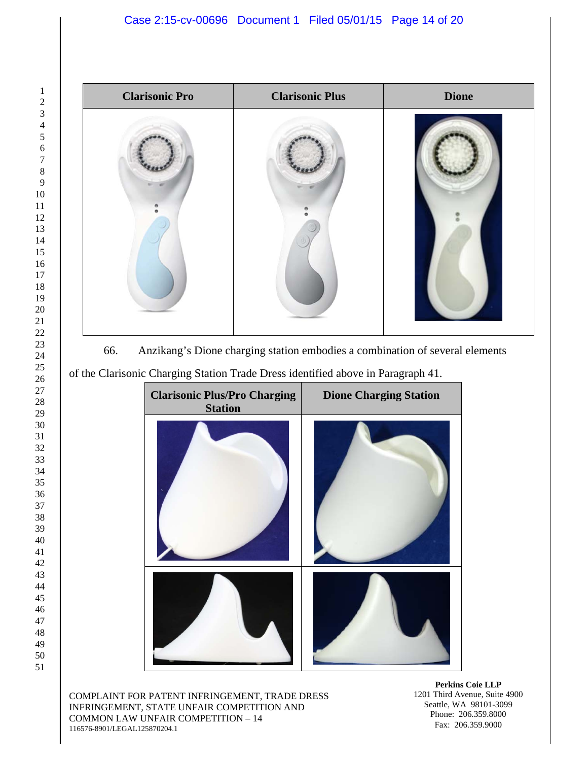

66. Anzikang's Dione charging station embodies a combination of several elements

of the Clarisonic Charging Station Trade Dress identified above in Paragraph 41.

| <b>Clarisonic Plus/Pro Charging</b><br><b>Station</b> | <b>Dione Charging Station</b> |
|-------------------------------------------------------|-------------------------------|
|                                                       |                               |
|                                                       |                               |

COMPLAINT FOR PATENT INFRINGEMENT, TRADE DRESS INFRINGEMENT, STATE UNFAIR COMPETITION AND COMMON LAW UNFAIR COMPETITION – 14 116576-8901/LEGAL125870204.1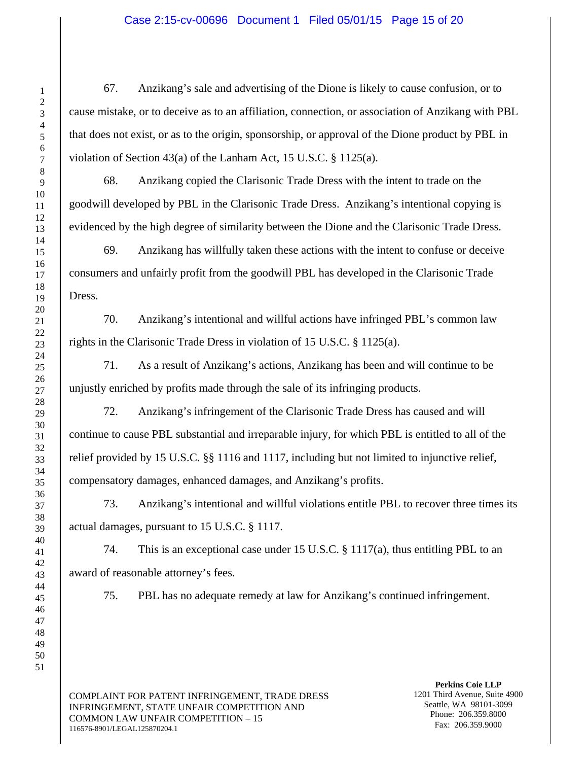## Case 2:15-cv-00696 Document 1 Filed 05/01/15 Page 15 of 20

67. Anzikang's sale and advertising of the Dione is likely to cause confusion, or to cause mistake, or to deceive as to an affiliation, connection, or association of Anzikang with PBL that does not exist, or as to the origin, sponsorship, or approval of the Dione product by PBL in violation of Section 43(a) of the Lanham Act, 15 U.S.C. § 1125(a).

68. Anzikang copied the Clarisonic Trade Dress with the intent to trade on the goodwill developed by PBL in the Clarisonic Trade Dress. Anzikang's intentional copying is evidenced by the high degree of similarity between the Dione and the Clarisonic Trade Dress.

69. Anzikang has willfully taken these actions with the intent to confuse or deceive consumers and unfairly profit from the goodwill PBL has developed in the Clarisonic Trade Dress.

70. Anzikang's intentional and willful actions have infringed PBL's common law rights in the Clarisonic Trade Dress in violation of 15 U.S.C. § 1125(a).

71. As a result of Anzikang's actions, Anzikang has been and will continue to be unjustly enriched by profits made through the sale of its infringing products.

72. Anzikang's infringement of the Clarisonic Trade Dress has caused and will continue to cause PBL substantial and irreparable injury, for which PBL is entitled to all of the relief provided by 15 U.S.C. §§ 1116 and 1117, including but not limited to injunctive relief, compensatory damages, enhanced damages, and Anzikang's profits.

73. Anzikang's intentional and willful violations entitle PBL to recover three times its actual damages, pursuant to 15 U.S.C. § 1117.

74. This is an exceptional case under 15 U.S.C. § 1117(a), thus entitling PBL to an award of reasonable attorney's fees.

75. PBL has no adequate remedy at law for Anzikang's continued infringement.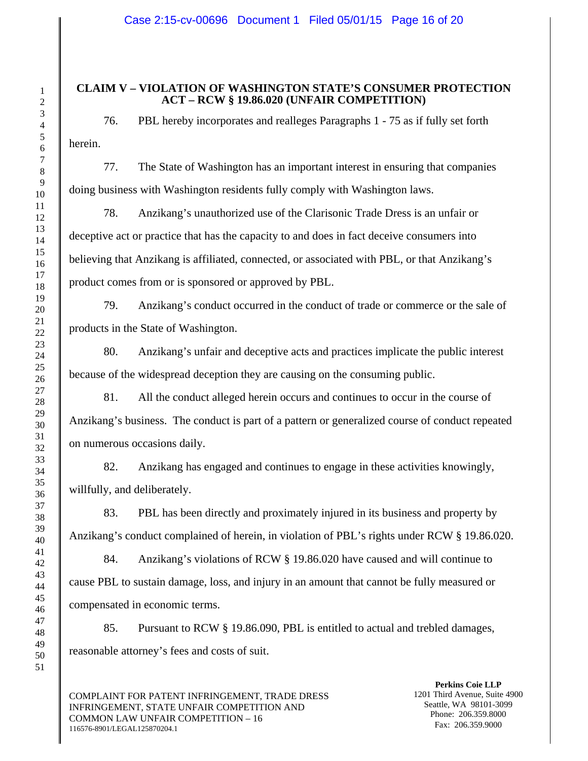# **CLAIM V – VIOLATION OF WASHINGTON STATE'S CONSUMER PROTECTION ACT – RCW § 19.86.020 (UNFAIR COMPETITION)**

76. PBL hereby incorporates and realleges Paragraphs 1 - 75 as if fully set forth herein.

77. The State of Washington has an important interest in ensuring that companies doing business with Washington residents fully comply with Washington laws.

78. Anzikang's unauthorized use of the Clarisonic Trade Dress is an unfair or deceptive act or practice that has the capacity to and does in fact deceive consumers into believing that Anzikang is affiliated, connected, or associated with PBL, or that Anzikang's product comes from or is sponsored or approved by PBL.

79. Anzikang's conduct occurred in the conduct of trade or commerce or the sale of products in the State of Washington.

80. Anzikang's unfair and deceptive acts and practices implicate the public interest because of the widespread deception they are causing on the consuming public.

81. All the conduct alleged herein occurs and continues to occur in the course of Anzikang's business. The conduct is part of a pattern or generalized course of conduct repeated on numerous occasions daily.

82. Anzikang has engaged and continues to engage in these activities knowingly, willfully, and deliberately.

83. PBL has been directly and proximately injured in its business and property by Anzikang's conduct complained of herein, in violation of PBL's rights under RCW § 19.86.020.

84. Anzikang's violations of RCW § 19.86.020 have caused and will continue to cause PBL to sustain damage, loss, and injury in an amount that cannot be fully measured or compensated in economic terms.

85. Pursuant to RCW § 19.86.090, PBL is entitled to actual and trebled damages, reasonable attorney's fees and costs of suit.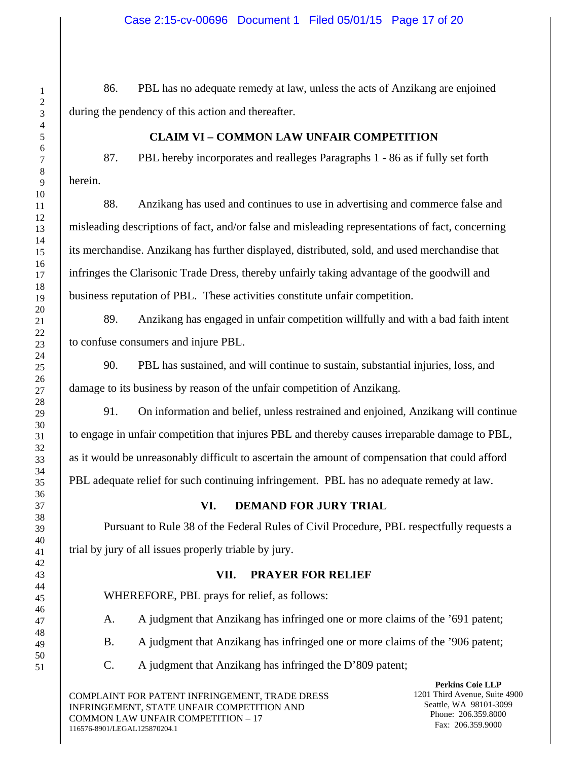## Case 2:15-cv-00696 Document 1 Filed 05/01/15 Page 17 of 20

86. PBL has no adequate remedy at law, unless the acts of Anzikang are enjoined during the pendency of this action and thereafter.

## **CLAIM VI – COMMON LAW UNFAIR COMPETITION**

87. PBL hereby incorporates and realleges Paragraphs 1 - 86 as if fully set forth herein.

88. Anzikang has used and continues to use in advertising and commerce false and misleading descriptions of fact, and/or false and misleading representations of fact, concerning its merchandise. Anzikang has further displayed, distributed, sold, and used merchandise that infringes the Clarisonic Trade Dress, thereby unfairly taking advantage of the goodwill and business reputation of PBL. These activities constitute unfair competition.

89. Anzikang has engaged in unfair competition willfully and with a bad faith intent to confuse consumers and injure PBL.

90. PBL has sustained, and will continue to sustain, substantial injuries, loss, and damage to its business by reason of the unfair competition of Anzikang.

91. On information and belief, unless restrained and enjoined, Anzikang will continue to engage in unfair competition that injures PBL and thereby causes irreparable damage to PBL, as it would be unreasonably difficult to ascertain the amount of compensation that could afford PBL adequate relief for such continuing infringement. PBL has no adequate remedy at law.

# **VI. DEMAND FOR JURY TRIAL**

Pursuant to Rule 38 of the Federal Rules of Civil Procedure, PBL respectfully requests a trial by jury of all issues properly triable by jury.

# **VII. PRAYER FOR RELIEF**

WHEREFORE, PBL prays for relief, as follows:

A. A judgment that Anzikang has infringed one or more claims of the '691 patent;

B. A judgment that Anzikang has infringed one or more claims of the '906 patent;

C. A judgment that Anzikang has infringed the D'809 patent;

COMPLAINT FOR PATENT INFRINGEMENT, TRADE DRESS INFRINGEMENT, STATE UNFAIR COMPETITION AND COMMON LAW UNFAIR COMPETITION – 17 116576-8901/LEGAL125870204.1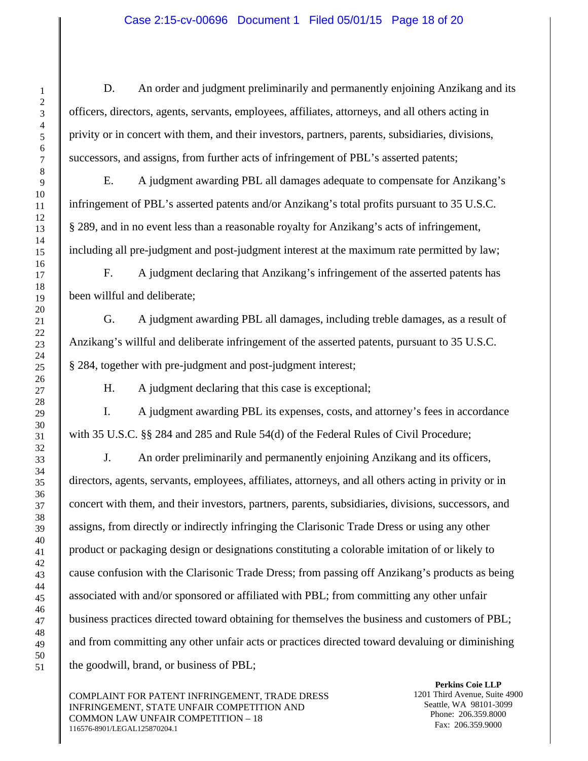D. An order and judgment preliminarily and permanently enjoining Anzikang and its officers, directors, agents, servants, employees, affiliates, attorneys, and all others acting in privity or in concert with them, and their investors, partners, parents, subsidiaries, divisions, successors, and assigns, from further acts of infringement of PBL's asserted patents;

E. A judgment awarding PBL all damages adequate to compensate for Anzikang's infringement of PBL's asserted patents and/or Anzikang's total profits pursuant to 35 U.S.C. § 289, and in no event less than a reasonable royalty for Anzikang's acts of infringement, including all pre-judgment and post-judgment interest at the maximum rate permitted by law;

F. A judgment declaring that Anzikang's infringement of the asserted patents has been willful and deliberate;

G. A judgment awarding PBL all damages, including treble damages, as a result of Anzikang's willful and deliberate infringement of the asserted patents, pursuant to 35 U.S.C. § 284, together with pre-judgment and post-judgment interest;

H. A judgment declaring that this case is exceptional;

I. A judgment awarding PBL its expenses, costs, and attorney's fees in accordance with 35 U.S.C. §§ 284 and 285 and Rule 54(d) of the Federal Rules of Civil Procedure;

J. An order preliminarily and permanently enjoining Anzikang and its officers, directors, agents, servants, employees, affiliates, attorneys, and all others acting in privity or in concert with them, and their investors, partners, parents, subsidiaries, divisions, successors, and assigns, from directly or indirectly infringing the Clarisonic Trade Dress or using any other product or packaging design or designations constituting a colorable imitation of or likely to cause confusion with the Clarisonic Trade Dress; from passing off Anzikang's products as being associated with and/or sponsored or affiliated with PBL; from committing any other unfair business practices directed toward obtaining for themselves the business and customers of PBL; and from committing any other unfair acts or practices directed toward devaluing or diminishing the goodwill, brand, or business of PBL;

COMPLAINT FOR PATENT INFRINGEMENT, TRADE DRESS INFRINGEMENT, STATE UNFAIR COMPETITION AND COMMON LAW UNFAIR COMPETITION – 18 116576-8901/LEGAL125870204.1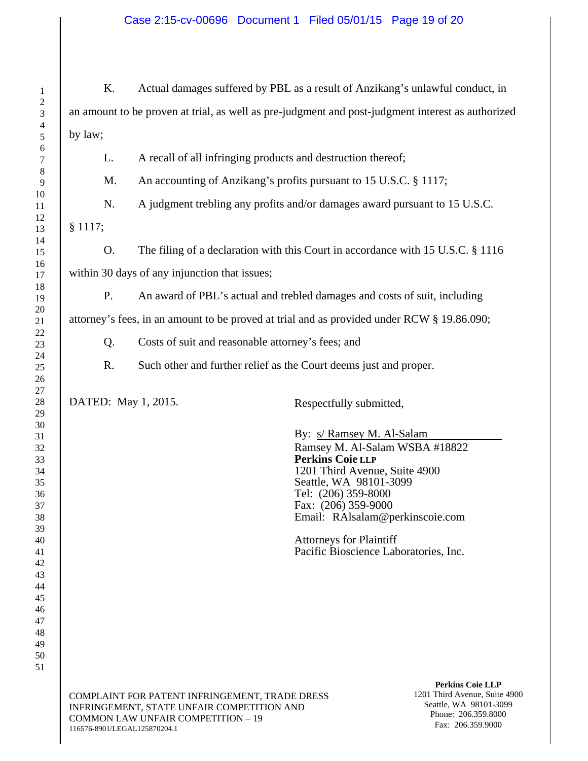# COMPLAINT FOR PATENT INFRINGEMENT, TRADE DRESS **Perkins Coie LLP**  K. Actual damages suffered by PBL as a result of Anzikang's unlawful conduct, in an amount to be proven at trial, as well as pre-judgment and post-judgment interest as authorized by law; L. A recall of all infringing products and destruction thereof; M. An accounting of Anzikang's profits pursuant to 15 U.S.C. § 1117; N. A judgment trebling any profits and/or damages award pursuant to 15 U.S.C. § 1117; O. The filing of a declaration with this Court in accordance with 15 U.S.C. § 1116 within 30 days of any injunction that issues; P. An award of PBL's actual and trebled damages and costs of suit, including attorney's fees, in an amount to be proved at trial and as provided under RCW § 19.86.090; Q. Costs of suit and reasonable attorney's fees; and R. Such other and further relief as the Court deems just and proper. DATED: May 1, 2015. Respectfully submitted, By: s/ Ramsey M. Al-Salam Ramsey M. Al-Salam WSBA #18822 **Perkins Coie LLP** 1201 Third Avenue, Suite 4900 Seattle, WA 98101-3099 Tel: (206) 359-8000 Fax: (206) 359-9000 Email: RAlsalam@perkinscoie.com Attorneys for Plaintiff Pacific Bioscience Laboratories, Inc.

INFRINGEMENT, STATE UNFAIR COMPETITION AND COMMON LAW UNFAIR COMPETITION – 19 116576-8901/LEGAL125870204.1

1201 Third Avenue, Suite 4900 Seattle, WA 98101-3099 Phone: 206.359.8000 Fax: 206.359.9000

50 51